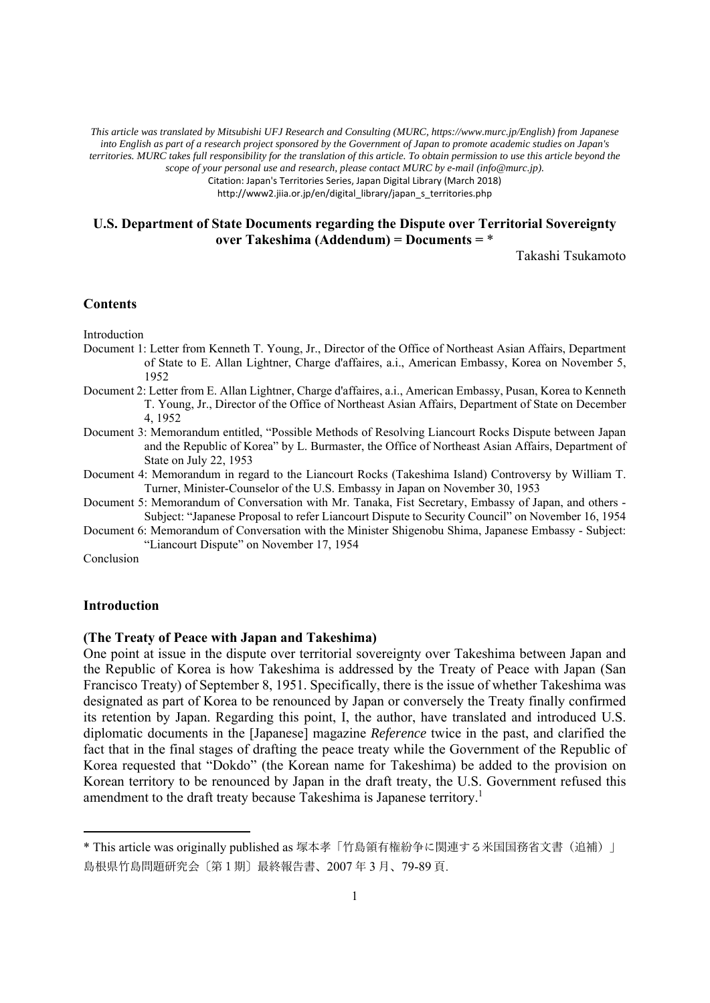*This article was translated by Mitsubishi UFJ Research and Consulting (MURC, https://www.murc.jp/English) from Japanese into English as part of a research project sponsored by the Government of Japan to promote academic studies on Japan's territories. MURC takes full responsibility for the translation of this article. To obtain permission to use this article beyond the scope of your personal use and research, please contact MURC by e-mail (info@murc.jp).*

Citation: Japan's Territories Series, Japan Digital Library (March 2018)

http://www2.jiia.or.jp/en/digital\_library/japan\_s\_territories.php

# **U.S. Department of State Documents regarding the Dispute over Territorial Sovereignty over Takeshima (Addendum) = Documents =** \*

Takashi Tsukamoto

## **Contents**

Introduction

- Document 1: Letter from Kenneth T. Young, Jr., Director of the Office of Northeast Asian Affairs, Department of State to E. Allan Lightner, Charge d'affaires, a.i., American Embassy, Korea on November 5, 1952
- Document 2: Letter from E. Allan Lightner, Charge d'affaires, a.i., American Embassy, Pusan, Korea to Kenneth T. Young, Jr., Director of the Office of Northeast Asian Affairs, Department of State on December 4, 1952
- Document 3: Memorandum entitled, "Possible Methods of Resolving Liancourt Rocks Dispute between Japan and the Republic of Korea" by L. Burmaster, the Office of Northeast Asian Affairs, Department of State on July 22, 1953
- Document 4: Memorandum in regard to the Liancourt Rocks (Takeshima Island) Controversy by William T. Turner, Minister-Counselor of the U.S. Embassy in Japan on November 30, 1953
- Document 5: Memorandum of Conversation with Mr. Tanaka, Fist Secretary, Embassy of Japan, and others Subject: "Japanese Proposal to refer Liancourt Dispute to Security Council" on November 16, 1954
- Document 6: Memorandum of Conversation with the Minister Shigenobu Shima, Japanese Embassy Subject: "Liancourt Dispute" on November 17, 1954

Conclusion

## **Introduction**

# **(The Treaty of Peace with Japan and Takeshima)**

One point at issue in the dispute over territorial sovereignty over Takeshima between Japan and the Republic of Korea is how Takeshima is addressed by the Treaty of Peace with Japan (San Francisco Treaty) of September 8, 1951. Specifically, there is the issue of whether Takeshima was designated as part of Korea to be renounced by Japan or conversely the Treaty finally confirmed its retention by Japan. Regarding this point, I, the author, have translated and introduced U.S. diplomatic documents in the [Japanese] magazine *Reference* twice in the past, and clarified the fact that in the final stages of drafting the peace treaty while the Government of the Republic of Korea requested that "Dokdo" (the Korean name for Takeshima) be added to the provision on Korean territory to be renounced by Japan in the draft treaty, the U.S. Government refused this amendment to the draft treaty because Takeshima is Japanese territory.<sup>1</sup>

<sup>\*</sup> This article was originally published as 塚本孝「竹島領有権紛争に関連する米国国務省文書(追補)」 島根県竹島問題研究会〔第1期〕最終報告書、2007 年 3 月、79-89 頁.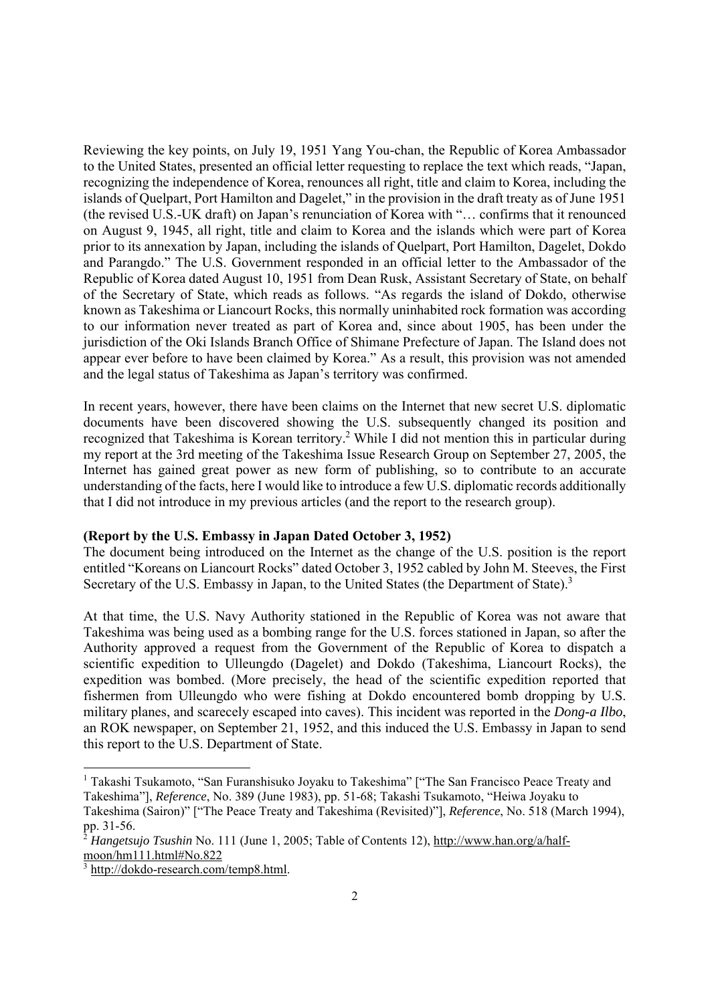Reviewing the key points, on July 19, 1951 Yang You-chan, the Republic of Korea Ambassador to the United States, presented an official letter requesting to replace the text which reads, "Japan, recognizing the independence of Korea, renounces all right, title and claim to Korea, including the islands of Quelpart, Port Hamilton and Dagelet," in the provision in the draft treaty as of June 1951 (the revised U.S.-UK draft) on Japan's renunciation of Korea with "… confirms that it renounced on August 9, 1945, all right, title and claim to Korea and the islands which were part of Korea prior to its annexation by Japan, including the islands of Quelpart, Port Hamilton, Dagelet, Dokdo and Parangdo." The U.S. Government responded in an official letter to the Ambassador of the Republic of Korea dated August 10, 1951 from Dean Rusk, Assistant Secretary of State, on behalf of the Secretary of State, which reads as follows. "As regards the island of Dokdo, otherwise known as Takeshima or Liancourt Rocks, this normally uninhabited rock formation was according to our information never treated as part of Korea and, since about 1905, has been under the jurisdiction of the Oki Islands Branch Office of Shimane Prefecture of Japan. The Island does not appear ever before to have been claimed by Korea." As a result, this provision was not amended and the legal status of Takeshima as Japan's territory was confirmed.

In recent years, however, there have been claims on the Internet that new secret U.S. diplomatic documents have been discovered showing the U.S. subsequently changed its position and recognized that Takeshima is Korean territory.<sup>2</sup> While I did not mention this in particular during my report at the 3rd meeting of the Takeshima Issue Research Group on September 27, 2005, the Internet has gained great power as new form of publishing, so to contribute to an accurate understanding of the facts, here I would like to introduce a few U.S. diplomatic records additionally that I did not introduce in my previous articles (and the report to the research group).

### **(Report by the U.S. Embassy in Japan Dated October 3, 1952)**

The document being introduced on the Internet as the change of the U.S. position is the report entitled "Koreans on Liancourt Rocks" dated October 3, 1952 cabled by John M. Steeves, the First Secretary of the U.S. Embassy in Japan, to the United States (the Department of State).<sup>3</sup>

At that time, the U.S. Navy Authority stationed in the Republic of Korea was not aware that Takeshima was being used as a bombing range for the U.S. forces stationed in Japan, so after the Authority approved a request from the Government of the Republic of Korea to dispatch a scientific expedition to Ulleungdo (Dagelet) and Dokdo (Takeshima, Liancourt Rocks), the expedition was bombed. (More precisely, the head of the scientific expedition reported that fishermen from Ulleungdo who were fishing at Dokdo encountered bomb dropping by U.S. military planes, and scarecely escaped into caves). This incident was reported in the *Dong-a Ilbo*, an ROK newspaper, on September 21, 1952, and this induced the U.S. Embassy in Japan to send this report to the U.S. Department of State.

<sup>&</sup>lt;sup>1</sup> Takashi Tsukamoto, "San Furanshisuko Joyaku to Takeshima" ["The San Francisco Peace Treaty and Takeshima"], *Reference*, No. 389 (June 1983), pp. 51-68; Takashi Tsukamoto, "Heiwa Joyaku to Takeshima (Sairon)" ["The Peace Treaty and Takeshima (Revisited)"], *Reference*, No. 518 (March 1994), pp. 31-56.

<sup>&</sup>lt;sup>2</sup> *Hangetsujo Tsushin* No. 111 (June 1, 2005; Table of Contents 12), http://www.han.org/a/halfmoon/hm111.html#No.822

<sup>&</sup>lt;sup>3</sup> http://dokdo-research.com/temp8.html.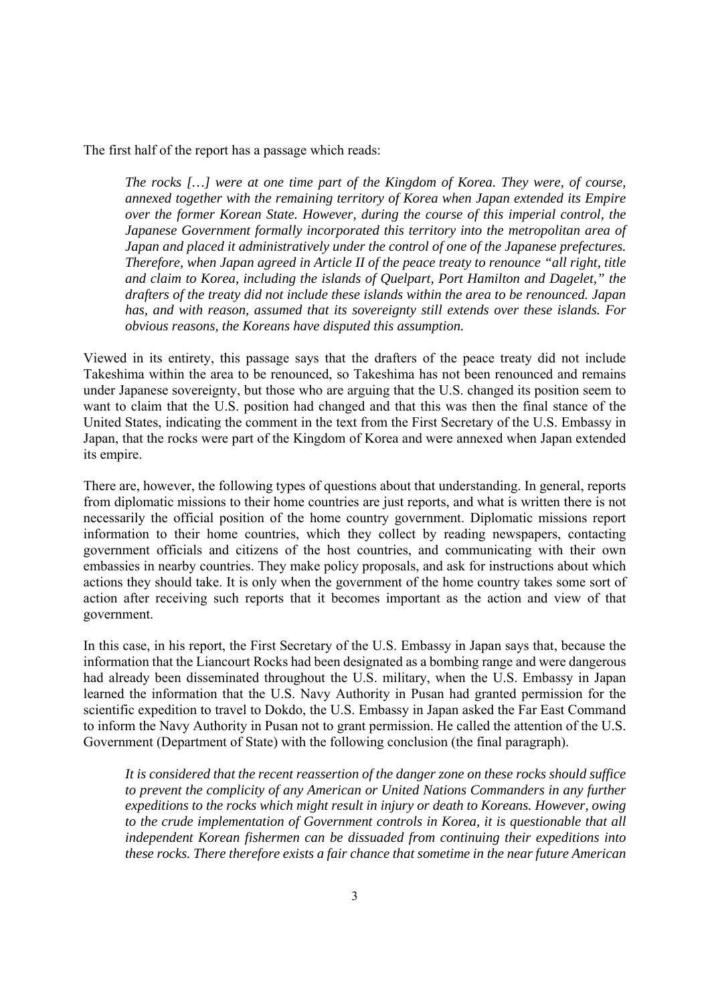The first half of the report has a passage which reads:

*The rocks […] were at one time part of the Kingdom of Korea. They were, of course, annexed together with the remaining territory of Korea when Japan extended its Empire over the former Korean State. However, during the course of this imperial control, the Japanese Government formally incorporated this territory into the metropolitan area of Japan and placed it administratively under the control of one of the Japanese prefectures. Therefore, when Japan agreed in Article II of the peace treaty to renounce "all right, title and claim to Korea, including the islands of Quelpart, Port Hamilton and Dagelet," the drafters of the treaty did not include these islands within the area to be renounced. Japan has, and with reason, assumed that its sovereignty still extends over these islands. For obvious reasons, the Koreans have disputed this assumption.* 

Viewed in its entirety, this passage says that the drafters of the peace treaty did not include Takeshima within the area to be renounced, so Takeshima has not been renounced and remains under Japanese sovereignty, but those who are arguing that the U.S. changed its position seem to want to claim that the U.S. position had changed and that this was then the final stance of the United States, indicating the comment in the text from the First Secretary of the U.S. Embassy in Japan, that the rocks were part of the Kingdom of Korea and were annexed when Japan extended its empire.

There are, however, the following types of questions about that understanding. In general, reports from diplomatic missions to their home countries are just reports, and what is written there is not necessarily the official position of the home country government. Diplomatic missions report information to their home countries, which they collect by reading newspapers, contacting government officials and citizens of the host countries, and communicating with their own embassies in nearby countries. They make policy proposals, and ask for instructions about which actions they should take. It is only when the government of the home country takes some sort of action after receiving such reports that it becomes important as the action and view of that government.

In this case, in his report, the First Secretary of the U.S. Embassy in Japan says that, because the information that the Liancourt Rocks had been designated as a bombing range and were dangerous had already been disseminated throughout the U.S. military, when the U.S. Embassy in Japan learned the information that the U.S. Navy Authority in Pusan had granted permission for the scientific expedition to travel to Dokdo, the U.S. Embassy in Japan asked the Far East Command to inform the Navy Authority in Pusan not to grant permission. He called the attention of the U.S. Government (Department of State) with the following conclusion (the final paragraph).

*It is considered that the recent reassertion of the danger zone on these rocks should suffice to prevent the complicity of any American or United Nations Commanders in any further expeditions to the rocks which might result in injury or death to Koreans. However, owing to the crude implementation of Government controls in Korea, it is questionable that all independent Korean fishermen can be dissuaded from continuing their expeditions into these rocks. There therefore exists a fair chance that sometime in the near future American*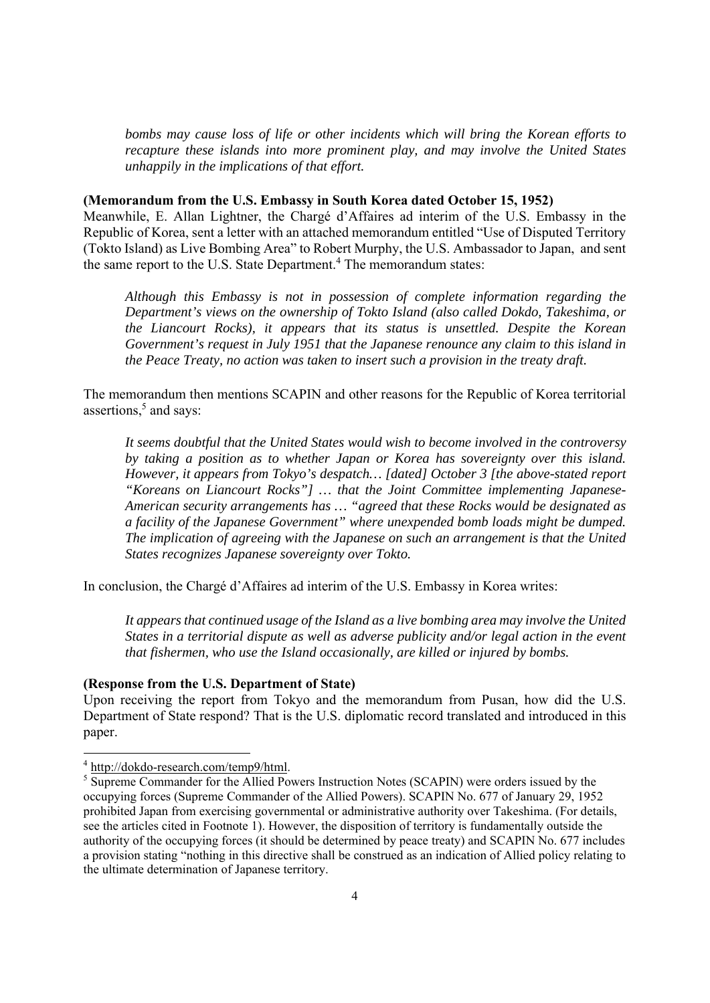*bombs may cause loss of life or other incidents which will bring the Korean efforts to recapture these islands into more prominent play, and may involve the United States unhappily in the implications of that effort.* 

## **(Memorandum from the U.S. Embassy in South Korea dated October 15, 1952)**

Meanwhile, E. Allan Lightner, the Chargé d'Affaires ad interim of the U.S. Embassy in the Republic of Korea, sent a letter with an attached memorandum entitled "Use of Disputed Territory (Tokto Island) as Live Bombing Area" to Robert Murphy, the U.S. Ambassador to Japan, and sent the same report to the U.S. State Department.<sup>4</sup> The memorandum states:

*Although this Embassy is not in possession of complete information regarding the Department's views on the ownership of Tokto Island (also called Dokdo, Takeshima, or the Liancourt Rocks), it appears that its status is unsettled. Despite the Korean Government's request in July 1951 that the Japanese renounce any claim to this island in the Peace Treaty, no action was taken to insert such a provision in the treaty draft.* 

The memorandum then mentions SCAPIN and other reasons for the Republic of Korea territorial assertions,<sup>5</sup> and says:

*It seems doubtful that the United States would wish to become involved in the controversy by taking a position as to whether Japan or Korea has sovereignty over this island. However, it appears from Tokyo's despatch… [dated] October 3 [the above-stated report "Koreans on Liancourt Rocks"] … that the Joint Committee implementing Japanese-American security arrangements has … "agreed that these Rocks would be designated as a facility of the Japanese Government" where unexpended bomb loads might be dumped. The implication of agreeing with the Japanese on such an arrangement is that the United States recognizes Japanese sovereignty over Tokto.* 

In conclusion, the Chargé d'Affaires ad interim of the U.S. Embassy in Korea writes:

*It appears that continued usage of the Island as a live bombing area may involve the United States in a territorial dispute as well as adverse publicity and/or legal action in the event that fishermen, who use the Island occasionally, are killed or injured by bombs.* 

# **(Response from the U.S. Department of State)**

Upon receiving the report from Tokyo and the memorandum from Pusan, how did the U.S. Department of State respond? That is the U.S. diplomatic record translated and introduced in this paper.

<sup>&</sup>lt;sup>4</sup> http://dokdo-research.com/temp9/html.

<sup>&</sup>lt;sup>5</sup> Supreme Commander for the Allied Powers Instruction Notes (SCAPIN) were orders issued by the occupying forces (Supreme Commander of the Allied Powers). SCAPIN No. 677 of January 29, 1952 prohibited Japan from exercising governmental or administrative authority over Takeshima. (For details, see the articles cited in Footnote 1). However, the disposition of territory is fundamentally outside the authority of the occupying forces (it should be determined by peace treaty) and SCAPIN No. 677 includes a provision stating "nothing in this directive shall be construed as an indication of Allied policy relating to the ultimate determination of Japanese territory.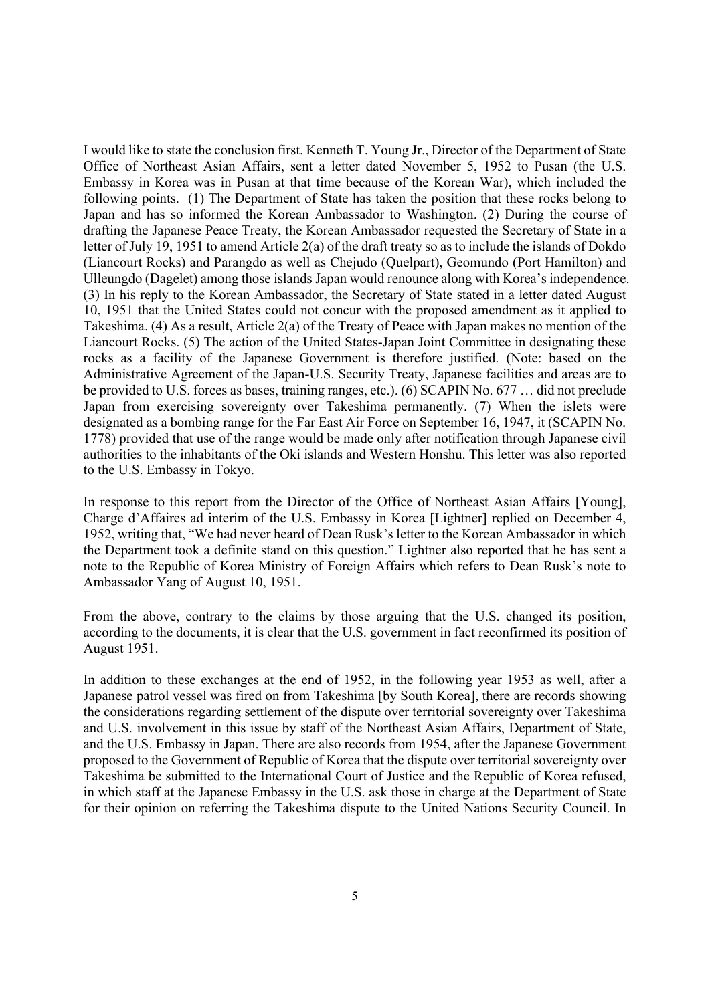I would like to state the conclusion first. Kenneth T. Young Jr., Director of the Department of State Office of Northeast Asian Affairs, sent a letter dated November 5, 1952 to Pusan (the U.S. Embassy in Korea was in Pusan at that time because of the Korean War), which included the following points. (1) The Department of State has taken the position that these rocks belong to Japan and has so informed the Korean Ambassador to Washington. (2) During the course of drafting the Japanese Peace Treaty, the Korean Ambassador requested the Secretary of State in a letter of July 19, 1951 to amend Article 2(a) of the draft treaty so as to include the islands of Dokdo (Liancourt Rocks) and Parangdo as well as Chejudo (Quelpart), Geomundo (Port Hamilton) and Ulleungdo (Dagelet) among those islands Japan would renounce along with Korea's independence. (3) In his reply to the Korean Ambassador, the Secretary of State stated in a letter dated August 10, 1951 that the United States could not concur with the proposed amendment as it applied to Takeshima. (4) As a result, Article 2(a) of the Treaty of Peace with Japan makes no mention of the Liancourt Rocks. (5) The action of the United States-Japan Joint Committee in designating these rocks as a facility of the Japanese Government is therefore justified. (Note: based on the Administrative Agreement of the Japan-U.S. Security Treaty, Japanese facilities and areas are to be provided to U.S. forces as bases, training ranges, etc.). (6) SCAPIN No. 677 … did not preclude Japan from exercising sovereignty over Takeshima permanently. (7) When the islets were designated as a bombing range for the Far East Air Force on September 16, 1947, it (SCAPIN No. 1778) provided that use of the range would be made only after notification through Japanese civil authorities to the inhabitants of the Oki islands and Western Honshu. This letter was also reported to the U.S. Embassy in Tokyo.

In response to this report from the Director of the Office of Northeast Asian Affairs [Young], Charge d'Affaires ad interim of the U.S. Embassy in Korea [Lightner] replied on December 4, 1952, writing that, "We had never heard of Dean Rusk's letter to the Korean Ambassador in which the Department took a definite stand on this question." Lightner also reported that he has sent a note to the Republic of Korea Ministry of Foreign Affairs which refers to Dean Rusk's note to Ambassador Yang of August 10, 1951.

From the above, contrary to the claims by those arguing that the U.S. changed its position, according to the documents, it is clear that the U.S. government in fact reconfirmed its position of August 1951.

In addition to these exchanges at the end of 1952, in the following year 1953 as well, after a Japanese patrol vessel was fired on from Takeshima [by South Korea], there are records showing the considerations regarding settlement of the dispute over territorial sovereignty over Takeshima and U.S. involvement in this issue by staff of the Northeast Asian Affairs, Department of State, and the U.S. Embassy in Japan. There are also records from 1954, after the Japanese Government proposed to the Government of Republic of Korea that the dispute over territorial sovereignty over Takeshima be submitted to the International Court of Justice and the Republic of Korea refused, in which staff at the Japanese Embassy in the U.S. ask those in charge at the Department of State for their opinion on referring the Takeshima dispute to the United Nations Security Council. In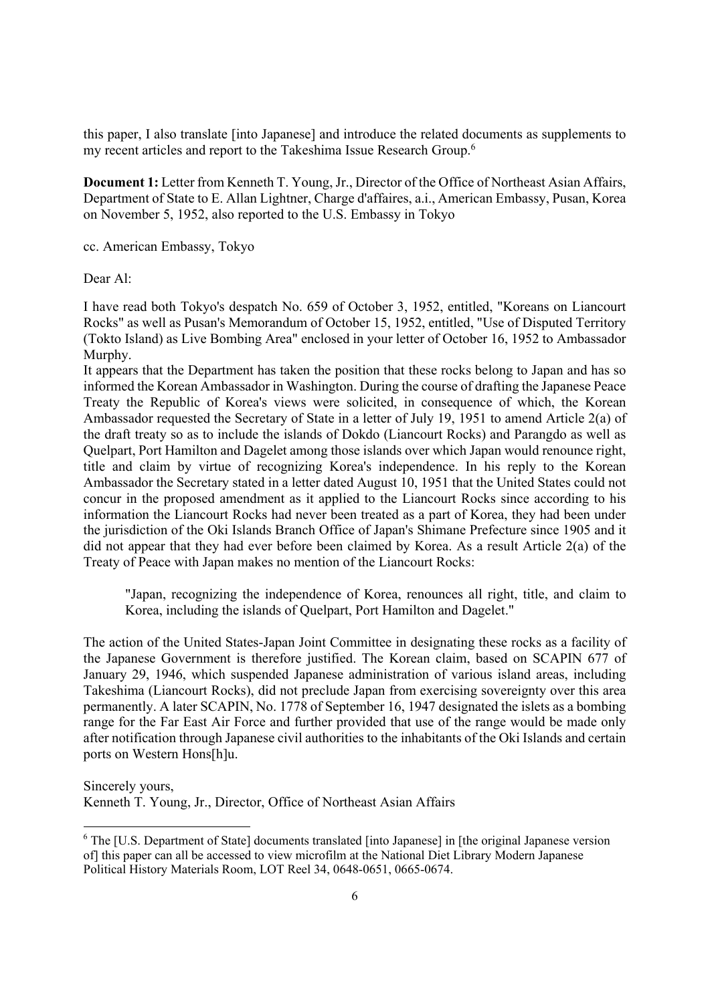this paper, I also translate [into Japanese] and introduce the related documents as supplements to my recent articles and report to the Takeshima Issue Research Group.<sup>6</sup>

**Document 1:** Letter from Kenneth T. Young, Jr., Director of the Office of Northeast Asian Affairs, Department of State to E. Allan Lightner, Charge d'affaires, a.i., American Embassy, Pusan, Korea on November 5, 1952, also reported to the U.S. Embassy in Tokyo

cc. American Embassy, Tokyo

Dear Al:

I have read both Tokyo's despatch No. 659 of October 3, 1952, entitled, "Koreans on Liancourt Rocks" as well as Pusan's Memorandum of October 15, 1952, entitled, "Use of Disputed Territory (Tokto Island) as Live Bombing Area" enclosed in your letter of October 16, 1952 to Ambassador Murphy.

It appears that the Department has taken the position that these rocks belong to Japan and has so informed the Korean Ambassador in Washington. During the course of drafting the Japanese Peace Treaty the Republic of Korea's views were solicited, in consequence of which, the Korean Ambassador requested the Secretary of State in a letter of July 19, 1951 to amend Article 2(a) of the draft treaty so as to include the islands of Dokdo (Liancourt Rocks) and Parangdo as well as Quelpart, Port Hamilton and Dagelet among those islands over which Japan would renounce right, title and claim by virtue of recognizing Korea's independence. In his reply to the Korean Ambassador the Secretary stated in a letter dated August 10, 1951 that the United States could not concur in the proposed amendment as it applied to the Liancourt Rocks since according to his information the Liancourt Rocks had never been treated as a part of Korea, they had been under the jurisdiction of the Oki Islands Branch Office of Japan's Shimane Prefecture since 1905 and it did not appear that they had ever before been claimed by Korea. As a result Article 2(a) of the Treaty of Peace with Japan makes no mention of the Liancourt Rocks:

"Japan, recognizing the independence of Korea, renounces all right, title, and claim to Korea, including the islands of Quelpart, Port Hamilton and Dagelet."

The action of the United States-Japan Joint Committee in designating these rocks as a facility of the Japanese Government is therefore justified. The Korean claim, based on SCAPIN 677 of January 29, 1946, which suspended Japanese administration of various island areas, including Takeshima (Liancourt Rocks), did not preclude Japan from exercising sovereignty over this area permanently. A later SCAPIN, No. 1778 of September 16, 1947 designated the islets as a bombing range for the Far East Air Force and further provided that use of the range would be made only after notification through Japanese civil authorities to the inhabitants of the Oki Islands and certain ports on Western Hons[h]u.

Sincerely yours,

Kenneth T. Young, Jr., Director, Office of Northeast Asian Affairs

<sup>&</sup>lt;sup>6</sup> The [U.S. Department of State] documents translated [into Japanese] in [the original Japanese version of] this paper can all be accessed to view microfilm at the National Diet Library Modern Japanese Political History Materials Room, LOT Reel 34, 0648-0651, 0665-0674.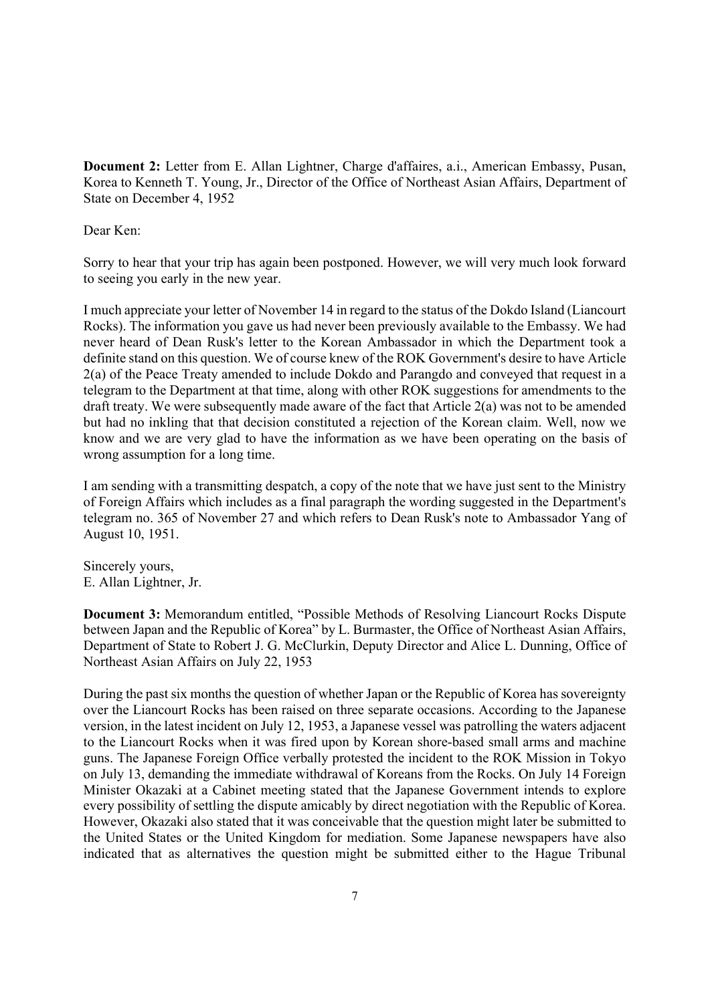**Document 2:** Letter from E. Allan Lightner, Charge d'affaires, a.i., American Embassy, Pusan, Korea to Kenneth T. Young, Jr., Director of the Office of Northeast Asian Affairs, Department of State on December 4, 1952

Dear Ken:

Sorry to hear that your trip has again been postponed. However, we will very much look forward to seeing you early in the new year.

I much appreciate your letter of November 14 in regard to the status of the Dokdo Island (Liancourt Rocks). The information you gave us had never been previously available to the Embassy. We had never heard of Dean Rusk's letter to the Korean Ambassador in which the Department took a definite stand on this question. We of course knew of the ROK Government's desire to have Article 2(a) of the Peace Treaty amended to include Dokdo and Parangdo and conveyed that request in a telegram to the Department at that time, along with other ROK suggestions for amendments to the draft treaty. We were subsequently made aware of the fact that Article 2(a) was not to be amended but had no inkling that that decision constituted a rejection of the Korean claim. Well, now we know and we are very glad to have the information as we have been operating on the basis of wrong assumption for a long time.

I am sending with a transmitting despatch, a copy of the note that we have just sent to the Ministry of Foreign Affairs which includes as a final paragraph the wording suggested in the Department's telegram no. 365 of November 27 and which refers to Dean Rusk's note to Ambassador Yang of August 10, 1951.

Sincerely yours, E. Allan Lightner, Jr.

**Document 3:** Memorandum entitled, "Possible Methods of Resolving Liancourt Rocks Dispute between Japan and the Republic of Korea" by L. Burmaster, the Office of Northeast Asian Affairs, Department of State to Robert J. G. McClurkin, Deputy Director and Alice L. Dunning, Office of Northeast Asian Affairs on July 22, 1953

During the past six months the question of whether Japan or the Republic of Korea has sovereignty over the Liancourt Rocks has been raised on three separate occasions. According to the Japanese version, in the latest incident on July 12, 1953, a Japanese vessel was patrolling the waters adjacent to the Liancourt Rocks when it was fired upon by Korean shore-based small arms and machine guns. The Japanese Foreign Office verbally protested the incident to the ROK Mission in Tokyo on July 13, demanding the immediate withdrawal of Koreans from the Rocks. On July 14 Foreign Minister Okazaki at a Cabinet meeting stated that the Japanese Government intends to explore every possibility of settling the dispute amicably by direct negotiation with the Republic of Korea. However, Okazaki also stated that it was conceivable that the question might later be submitted to the United States or the United Kingdom for mediation. Some Japanese newspapers have also indicated that as alternatives the question might be submitted either to the Hague Tribunal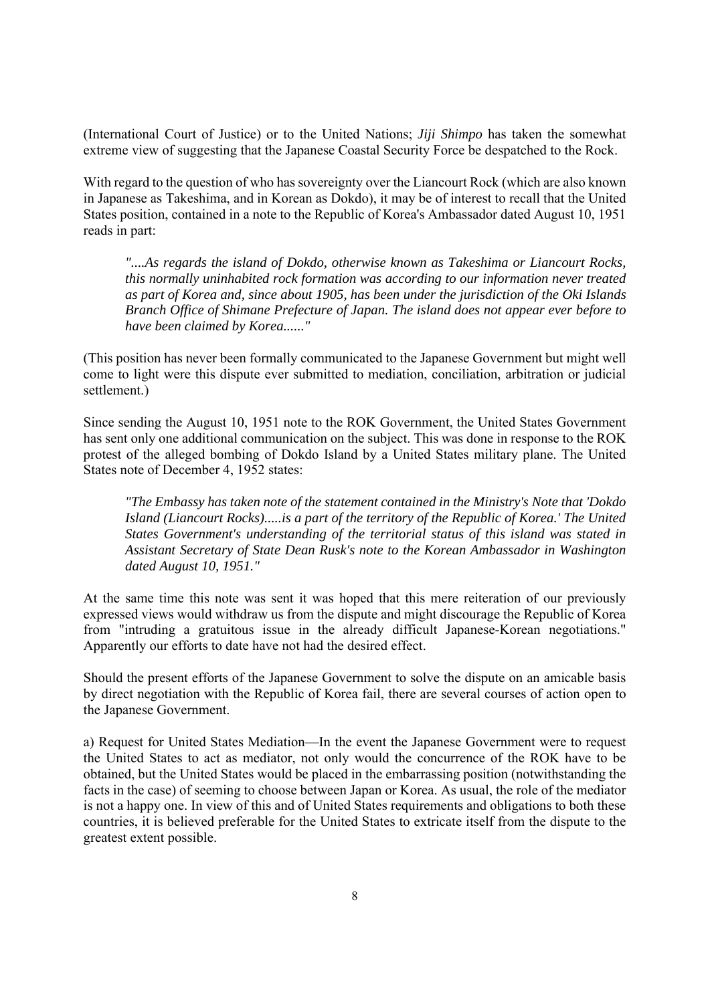(International Court of Justice) or to the United Nations; *Jiji Shimpo* has taken the somewhat extreme view of suggesting that the Japanese Coastal Security Force be despatched to the Rock.

With regard to the question of who has sovereignty over the Liancourt Rock (which are also known in Japanese as Takeshima, and in Korean as Dokdo), it may be of interest to recall that the United States position, contained in a note to the Republic of Korea's Ambassador dated August 10, 1951 reads in part:

*"....As regards the island of Dokdo, otherwise known as Takeshima or Liancourt Rocks, this normally uninhabited rock formation was according to our information never treated as part of Korea and, since about 1905, has been under the jurisdiction of the Oki Islands Branch Office of Shimane Prefecture of Japan. The island does not appear ever before to have been claimed by Korea......"* 

(This position has never been formally communicated to the Japanese Government but might well come to light were this dispute ever submitted to mediation, conciliation, arbitration or judicial settlement.)

Since sending the August 10, 1951 note to the ROK Government, the United States Government has sent only one additional communication on the subject. This was done in response to the ROK protest of the alleged bombing of Dokdo Island by a United States military plane. The United States note of December 4, 1952 states:

*"The Embassy has taken note of the statement contained in the Ministry's Note that 'Dokdo Island (Liancourt Rocks).....is a part of the territory of the Republic of Korea.' The United States Government's understanding of the territorial status of this island was stated in Assistant Secretary of State Dean Rusk's note to the Korean Ambassador in Washington dated August 10, 1951."* 

At the same time this note was sent it was hoped that this mere reiteration of our previously expressed views would withdraw us from the dispute and might discourage the Republic of Korea from "intruding a gratuitous issue in the already difficult Japanese-Korean negotiations." Apparently our efforts to date have not had the desired effect.

Should the present efforts of the Japanese Government to solve the dispute on an amicable basis by direct negotiation with the Republic of Korea fail, there are several courses of action open to the Japanese Government.

a) Request for United States Mediation—In the event the Japanese Government were to request the United States to act as mediator, not only would the concurrence of the ROK have to be obtained, but the United States would be placed in the embarrassing position (notwithstanding the facts in the case) of seeming to choose between Japan or Korea. As usual, the role of the mediator is not a happy one. In view of this and of United States requirements and obligations to both these countries, it is believed preferable for the United States to extricate itself from the dispute to the greatest extent possible.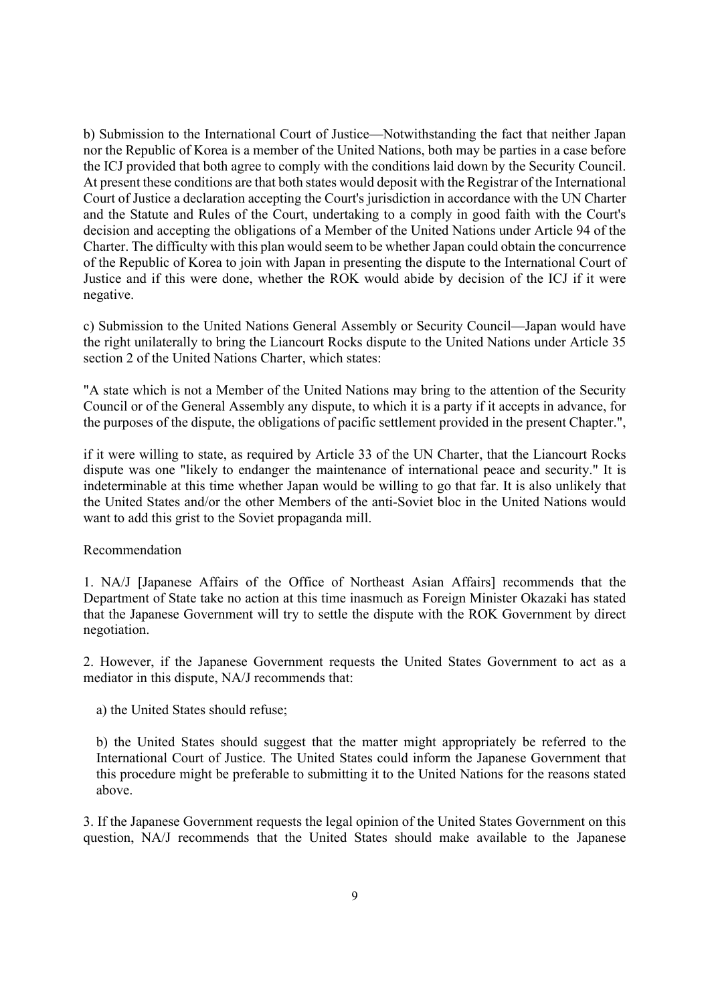b) Submission to the International Court of Justice—Notwithstanding the fact that neither Japan nor the Republic of Korea is a member of the United Nations, both may be parties in a case before the ICJ provided that both agree to comply with the conditions laid down by the Security Council. At present these conditions are that both states would deposit with the Registrar of the International Court of Justice a declaration accepting the Court's jurisdiction in accordance with the UN Charter and the Statute and Rules of the Court, undertaking to a comply in good faith with the Court's decision and accepting the obligations of a Member of the United Nations under Article 94 of the Charter. The difficulty with this plan would seem to be whether Japan could obtain the concurrence of the Republic of Korea to join with Japan in presenting the dispute to the International Court of Justice and if this were done, whether the ROK would abide by decision of the ICJ if it were negative.

c) Submission to the United Nations General Assembly or Security Council—Japan would have the right unilaterally to bring the Liancourt Rocks dispute to the United Nations under Article 35 section 2 of the United Nations Charter, which states:

"A state which is not a Member of the United Nations may bring to the attention of the Security Council or of the General Assembly any dispute, to which it is a party if it accepts in advance, for the purposes of the dispute, the obligations of pacific settlement provided in the present Chapter.",

if it were willing to state, as required by Article 33 of the UN Charter, that the Liancourt Rocks dispute was one "likely to endanger the maintenance of international peace and security." It is indeterminable at this time whether Japan would be willing to go that far. It is also unlikely that the United States and/or the other Members of the anti-Soviet bloc in the United Nations would want to add this grist to the Soviet propaganda mill.

# Recommendation

1. NA/J [Japanese Affairs of the Office of Northeast Asian Affairs] recommends that the Department of State take no action at this time inasmuch as Foreign Minister Okazaki has stated that the Japanese Government will try to settle the dispute with the ROK Government by direct negotiation.

2. However, if the Japanese Government requests the United States Government to act as a mediator in this dispute, NA/J recommends that:

a) the United States should refuse;

b) the United States should suggest that the matter might appropriately be referred to the International Court of Justice. The United States could inform the Japanese Government that this procedure might be preferable to submitting it to the United Nations for the reasons stated above.

3. If the Japanese Government requests the legal opinion of the United States Government on this question, NA/J recommends that the United States should make available to the Japanese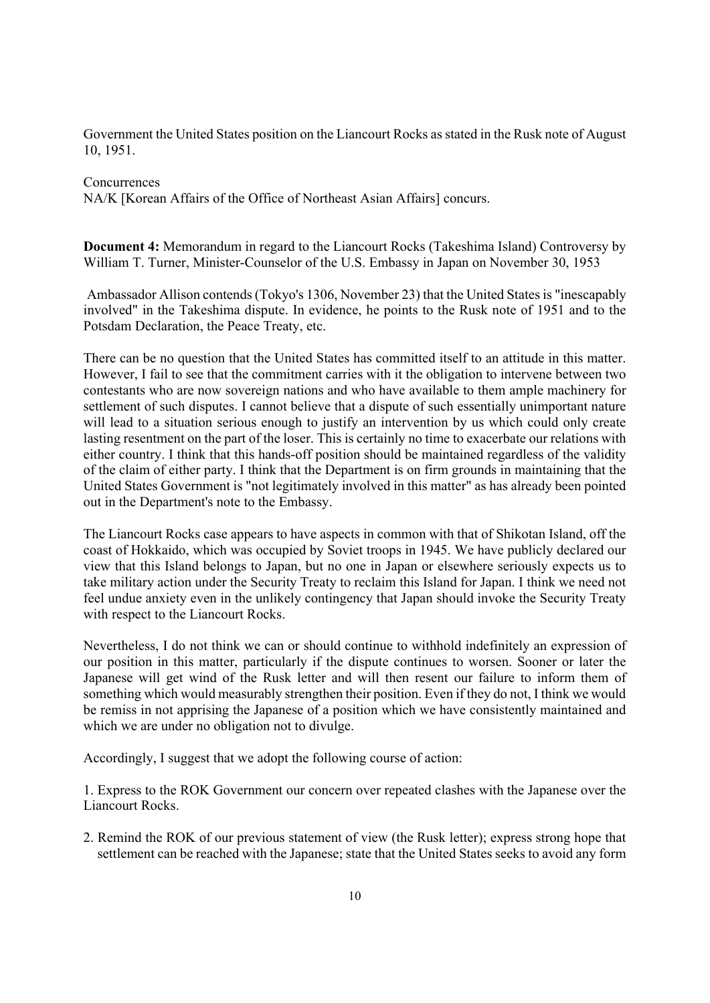Government the United States position on the Liancourt Rocks as stated in the Rusk note of August 10, 1951.

## **Concurrences**

NA/K [Korean Affairs of the Office of Northeast Asian Affairs] concurs.

**Document 4:** Memorandum in regard to the Liancourt Rocks (Takeshima Island) Controversy by William T. Turner, Minister-Counselor of the U.S. Embassy in Japan on November 30, 1953

 Ambassador Allison contends (Tokyo's 1306, November 23) that the United States is "inescapably involved" in the Takeshima dispute. In evidence, he points to the Rusk note of 1951 and to the Potsdam Declaration, the Peace Treaty, etc.

There can be no question that the United States has committed itself to an attitude in this matter. However, I fail to see that the commitment carries with it the obligation to intervene between two contestants who are now sovereign nations and who have available to them ample machinery for settlement of such disputes. I cannot believe that a dispute of such essentially unimportant nature will lead to a situation serious enough to justify an intervention by us which could only create lasting resentment on the part of the loser. This is certainly no time to exacerbate our relations with either country. I think that this hands-off position should be maintained regardless of the validity of the claim of either party. I think that the Department is on firm grounds in maintaining that the United States Government is "not legitimately involved in this matter" as has already been pointed out in the Department's note to the Embassy.

The Liancourt Rocks case appears to have aspects in common with that of Shikotan Island, off the coast of Hokkaido, which was occupied by Soviet troops in 1945. We have publicly declared our view that this Island belongs to Japan, but no one in Japan or elsewhere seriously expects us to take military action under the Security Treaty to reclaim this Island for Japan. I think we need not feel undue anxiety even in the unlikely contingency that Japan should invoke the Security Treaty with respect to the Liancourt Rocks.

Nevertheless, I do not think we can or should continue to withhold indefinitely an expression of our position in this matter, particularly if the dispute continues to worsen. Sooner or later the Japanese will get wind of the Rusk letter and will then resent our failure to inform them of something which would measurably strengthen their position. Even if they do not, I think we would be remiss in not apprising the Japanese of a position which we have consistently maintained and which we are under no obligation not to divulge.

Accordingly, I suggest that we adopt the following course of action:

1. Express to the ROK Government our concern over repeated clashes with the Japanese over the Liancourt Rocks.

2. Remind the ROK of our previous statement of view (the Rusk letter); express strong hope that settlement can be reached with the Japanese; state that the United States seeks to avoid any form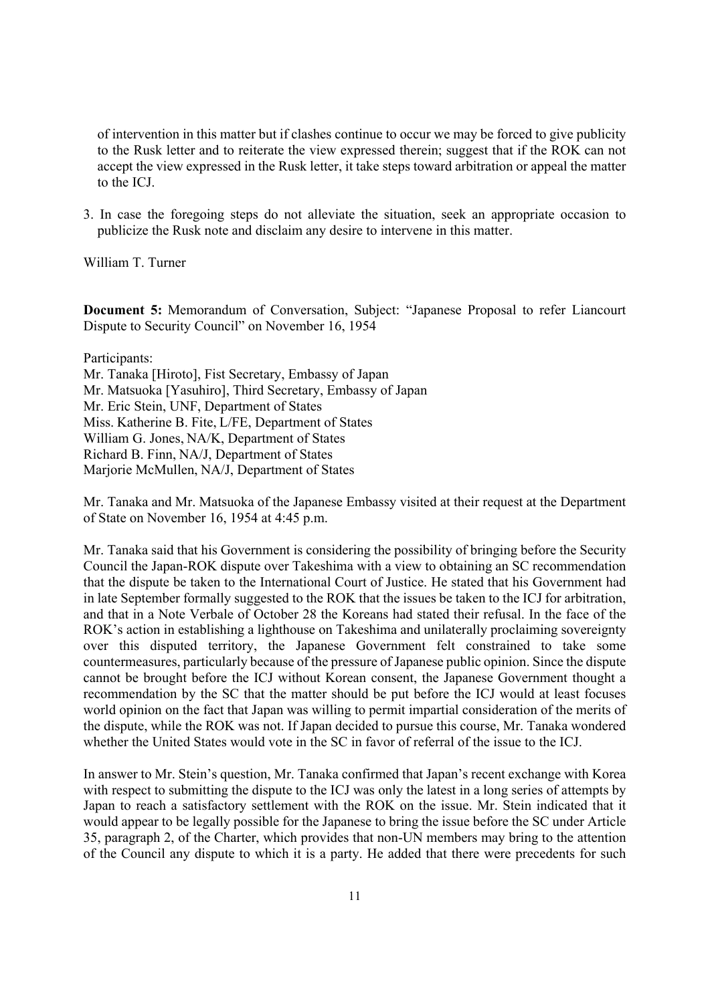of intervention in this matter but if clashes continue to occur we may be forced to give publicity to the Rusk letter and to reiterate the view expressed therein; suggest that if the ROK can not accept the view expressed in the Rusk letter, it take steps toward arbitration or appeal the matter to the ICJ.

3. In case the foregoing steps do not alleviate the situation, seek an appropriate occasion to publicize the Rusk note and disclaim any desire to intervene in this matter.

William T. Turner

**Document 5:** Memorandum of Conversation, Subject: "Japanese Proposal to refer Liancourt Dispute to Security Council" on November 16, 1954

Participants:

Mr. Tanaka [Hiroto], Fist Secretary, Embassy of Japan Mr. Matsuoka [Yasuhiro], Third Secretary, Embassy of Japan Mr. Eric Stein, UNF, Department of States Miss. Katherine B. Fite, L/FE, Department of States William G. Jones, NA/K, Department of States Richard B. Finn, NA/J, Department of States Marjorie McMullen, NA/J, Department of States

Mr. Tanaka and Mr. Matsuoka of the Japanese Embassy visited at their request at the Department of State on November 16, 1954 at 4:45 p.m.

Mr. Tanaka said that his Government is considering the possibility of bringing before the Security Council the Japan-ROK dispute over Takeshima with a view to obtaining an SC recommendation that the dispute be taken to the International Court of Justice. He stated that his Government had in late September formally suggested to the ROK that the issues be taken to the ICJ for arbitration, and that in a Note Verbale of October 28 the Koreans had stated their refusal. In the face of the ROK's action in establishing a lighthouse on Takeshima and unilaterally proclaiming sovereignty over this disputed territory, the Japanese Government felt constrained to take some countermeasures, particularly because of the pressure of Japanese public opinion. Since the dispute cannot be brought before the ICJ without Korean consent, the Japanese Government thought a recommendation by the SC that the matter should be put before the ICJ would at least focuses world opinion on the fact that Japan was willing to permit impartial consideration of the merits of the dispute, while the ROK was not. If Japan decided to pursue this course, Mr. Tanaka wondered whether the United States would vote in the SC in favor of referral of the issue to the ICJ.

In answer to Mr. Stein's question, Mr. Tanaka confirmed that Japan's recent exchange with Korea with respect to submitting the dispute to the ICJ was only the latest in a long series of attempts by Japan to reach a satisfactory settlement with the ROK on the issue. Mr. Stein indicated that it would appear to be legally possible for the Japanese to bring the issue before the SC under Article 35, paragraph 2, of the Charter, which provides that non-UN members may bring to the attention of the Council any dispute to which it is a party. He added that there were precedents for such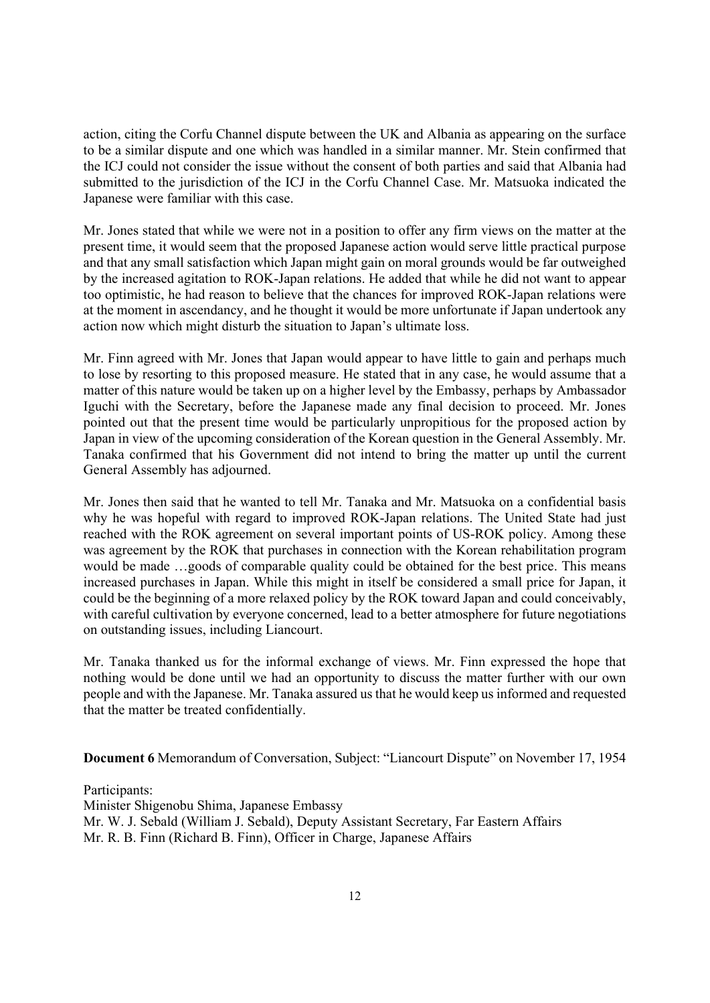action, citing the Corfu Channel dispute between the UK and Albania as appearing on the surface to be a similar dispute and one which was handled in a similar manner. Mr. Stein confirmed that the ICJ could not consider the issue without the consent of both parties and said that Albania had submitted to the jurisdiction of the ICJ in the Corfu Channel Case. Mr. Matsuoka indicated the Japanese were familiar with this case.

Mr. Jones stated that while we were not in a position to offer any firm views on the matter at the present time, it would seem that the proposed Japanese action would serve little practical purpose and that any small satisfaction which Japan might gain on moral grounds would be far outweighed by the increased agitation to ROK-Japan relations. He added that while he did not want to appear too optimistic, he had reason to believe that the chances for improved ROK-Japan relations were at the moment in ascendancy, and he thought it would be more unfortunate if Japan undertook any action now which might disturb the situation to Japan's ultimate loss.

Mr. Finn agreed with Mr. Jones that Japan would appear to have little to gain and perhaps much to lose by resorting to this proposed measure. He stated that in any case, he would assume that a matter of this nature would be taken up on a higher level by the Embassy, perhaps by Ambassador Iguchi with the Secretary, before the Japanese made any final decision to proceed. Mr. Jones pointed out that the present time would be particularly unpropitious for the proposed action by Japan in view of the upcoming consideration of the Korean question in the General Assembly. Mr. Tanaka confirmed that his Government did not intend to bring the matter up until the current General Assembly has adjourned.

Mr. Jones then said that he wanted to tell Mr. Tanaka and Mr. Matsuoka on a confidential basis why he was hopeful with regard to improved ROK-Japan relations. The United State had just reached with the ROK agreement on several important points of US-ROK policy. Among these was agreement by the ROK that purchases in connection with the Korean rehabilitation program would be made …goods of comparable quality could be obtained for the best price. This means increased purchases in Japan. While this might in itself be considered a small price for Japan, it could be the beginning of a more relaxed policy by the ROK toward Japan and could conceivably, with careful cultivation by everyone concerned, lead to a better atmosphere for future negotiations on outstanding issues, including Liancourt.

Mr. Tanaka thanked us for the informal exchange of views. Mr. Finn expressed the hope that nothing would be done until we had an opportunity to discuss the matter further with our own people and with the Japanese. Mr. Tanaka assured us that he would keep us informed and requested that the matter be treated confidentially.

**Document 6** Memorandum of Conversation, Subject: "Liancourt Dispute" on November 17, 1954

Participants: Minister Shigenobu Shima, Japanese Embassy Mr. W. J. Sebald (William J. Sebald), Deputy Assistant Secretary, Far Eastern Affairs Mr. R. B. Finn (Richard B. Finn), Officer in Charge, Japanese Affairs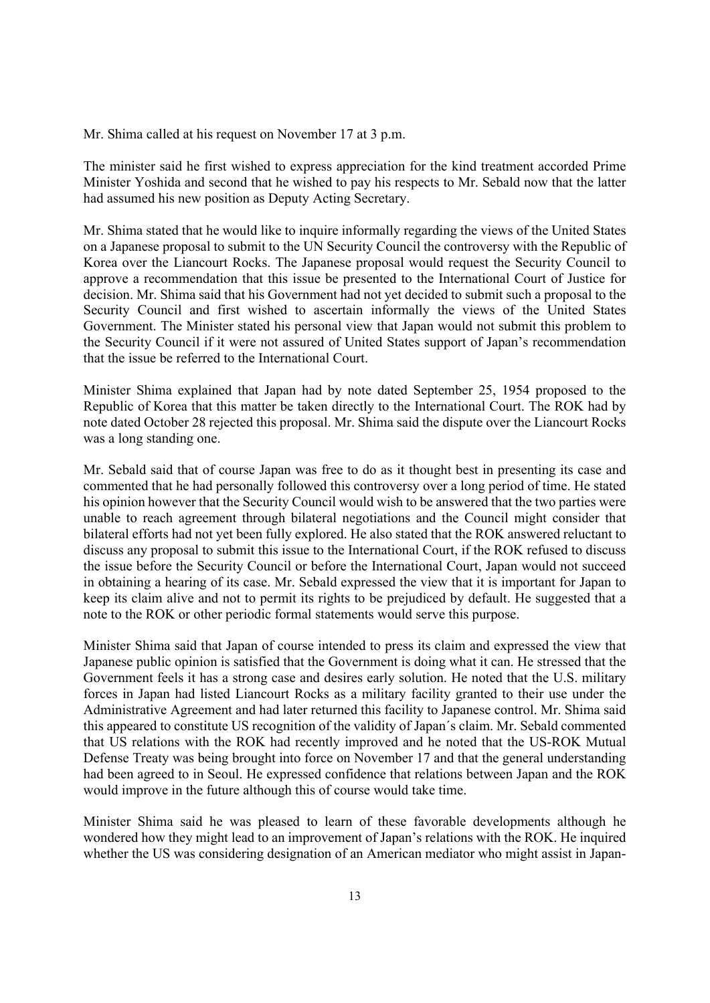Mr. Shima called at his request on November 17 at 3 p.m.

The minister said he first wished to express appreciation for the kind treatment accorded Prime Minister Yoshida and second that he wished to pay his respects to Mr. Sebald now that the latter had assumed his new position as Deputy Acting Secretary.

Mr. Shima stated that he would like to inquire informally regarding the views of the United States on a Japanese proposal to submit to the UN Security Council the controversy with the Republic of Korea over the Liancourt Rocks. The Japanese proposal would request the Security Council to approve a recommendation that this issue be presented to the International Court of Justice for decision. Mr. Shima said that his Government had not yet decided to submit such a proposal to the Security Council and first wished to ascertain informally the views of the United States Government. The Minister stated his personal view that Japan would not submit this problem to the Security Council if it were not assured of United States support of Japan's recommendation that the issue be referred to the International Court.

Minister Shima explained that Japan had by note dated September 25, 1954 proposed to the Republic of Korea that this matter be taken directly to the International Court. The ROK had by note dated October 28 rejected this proposal. Mr. Shima said the dispute over the Liancourt Rocks was a long standing one.

Mr. Sebald said that of course Japan was free to do as it thought best in presenting its case and commented that he had personally followed this controversy over a long period of time. He stated his opinion however that the Security Council would wish to be answered that the two parties were unable to reach agreement through bilateral negotiations and the Council might consider that bilateral efforts had not yet been fully explored. He also stated that the ROK answered reluctant to discuss any proposal to submit this issue to the International Court, if the ROK refused to discuss the issue before the Security Council or before the International Court, Japan would not succeed in obtaining a hearing of its case. Mr. Sebald expressed the view that it is important for Japan to keep its claim alive and not to permit its rights to be prejudiced by default. He suggested that a note to the ROK or other periodic formal statements would serve this purpose.

Minister Shima said that Japan of course intended to press its claim and expressed the view that Japanese public opinion is satisfied that the Government is doing what it can. He stressed that the Government feels it has a strong case and desires early solution. He noted that the U.S. military forces in Japan had listed Liancourt Rocks as a military facility granted to their use under the Administrative Agreement and had later returned this facility to Japanese control. Mr. Shima said this appeared to constitute US recognition of the validity of Japan´s claim. Mr. Sebald commented that US relations with the ROK had recently improved and he noted that the US-ROK Mutual Defense Treaty was being brought into force on November 17 and that the general understanding had been agreed to in Seoul. He expressed confidence that relations between Japan and the ROK would improve in the future although this of course would take time.

Minister Shima said he was pleased to learn of these favorable developments although he wondered how they might lead to an improvement of Japan's relations with the ROK. He inquired whether the US was considering designation of an American mediator who might assist in Japan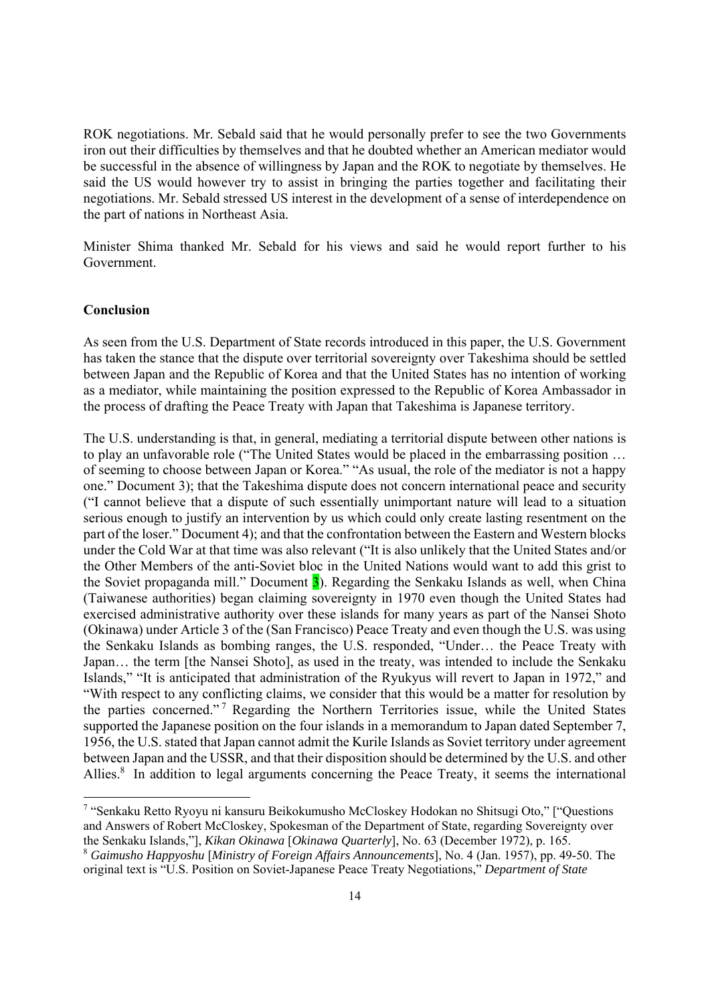ROK negotiations. Mr. Sebald said that he would personally prefer to see the two Governments iron out their difficulties by themselves and that he doubted whether an American mediator would be successful in the absence of willingness by Japan and the ROK to negotiate by themselves. He said the US would however try to assist in bringing the parties together and facilitating their negotiations. Mr. Sebald stressed US interest in the development of a sense of interdependence on the part of nations in Northeast Asia.

Minister Shima thanked Mr. Sebald for his views and said he would report further to his Government.

#### **Conclusion**

As seen from the U.S. Department of State records introduced in this paper, the U.S. Government has taken the stance that the dispute over territorial sovereignty over Takeshima should be settled between Japan and the Republic of Korea and that the United States has no intention of working as a mediator, while maintaining the position expressed to the Republic of Korea Ambassador in the process of drafting the Peace Treaty with Japan that Takeshima is Japanese territory.

The U.S. understanding is that, in general, mediating a territorial dispute between other nations is to play an unfavorable role ("The United States would be placed in the embarrassing position … of seeming to choose between Japan or Korea." "As usual, the role of the mediator is not a happy one." Document 3); that the Takeshima dispute does not concern international peace and security ("I cannot believe that a dispute of such essentially unimportant nature will lead to a situation serious enough to justify an intervention by us which could only create lasting resentment on the part of the loser." Document 4); and that the confrontation between the Eastern and Western blocks under the Cold War at that time was also relevant ("It is also unlikely that the United States and/or the Other Members of the anti-Soviet bloc in the United Nations would want to add this grist to the Soviet propaganda mill." Document  $\overline{3}$ ). Regarding the Senkaku Islands as well, when China (Taiwanese authorities) began claiming sovereignty in 1970 even though the United States had exercised administrative authority over these islands for many years as part of the Nansei Shoto (Okinawa) under Article 3 of the (San Francisco) Peace Treaty and even though the U.S. was using the Senkaku Islands as bombing ranges, the U.S. responded, "Under… the Peace Treaty with Japan… the term [the Nansei Shoto], as used in the treaty, was intended to include the Senkaku Islands," "It is anticipated that administration of the Ryukyus will revert to Japan in 1972," and "With respect to any conflicting claims, we consider that this would be a matter for resolution by the parties concerned." 7 Regarding the Northern Territories issue, while the United States supported the Japanese position on the four islands in a memorandum to Japan dated September 7, 1956, the U.S. stated that Japan cannot admit the Kurile Islands as Soviet territory under agreement between Japan and the USSR, and that their disposition should be determined by the U.S. and other Allies.<sup>8</sup> In addition to legal arguments concerning the Peace Treaty, it seems the international

<sup>&</sup>lt;sup>7</sup> "Senkaku Retto Ryoyu ni kansuru Beikokumusho McCloskey Hodokan no Shitsugi Oto," ["Questions and Answers of Robert McCloskey, Spokesman of the Department of State, regarding Sovereignty over the Senkaku Islands,"], *Kikan Okinawa* [*Okinawa Quarterly*], No. 63 (December 1972), p. 165.

<sup>8</sup> *Gaimusho Happyoshu* [*Ministry of Foreign Affairs Announcements*], No. 4 (Jan. 1957), pp. 49-50. The original text is "U.S. Position on Soviet-Japanese Peace Treaty Negotiations," *Department of State*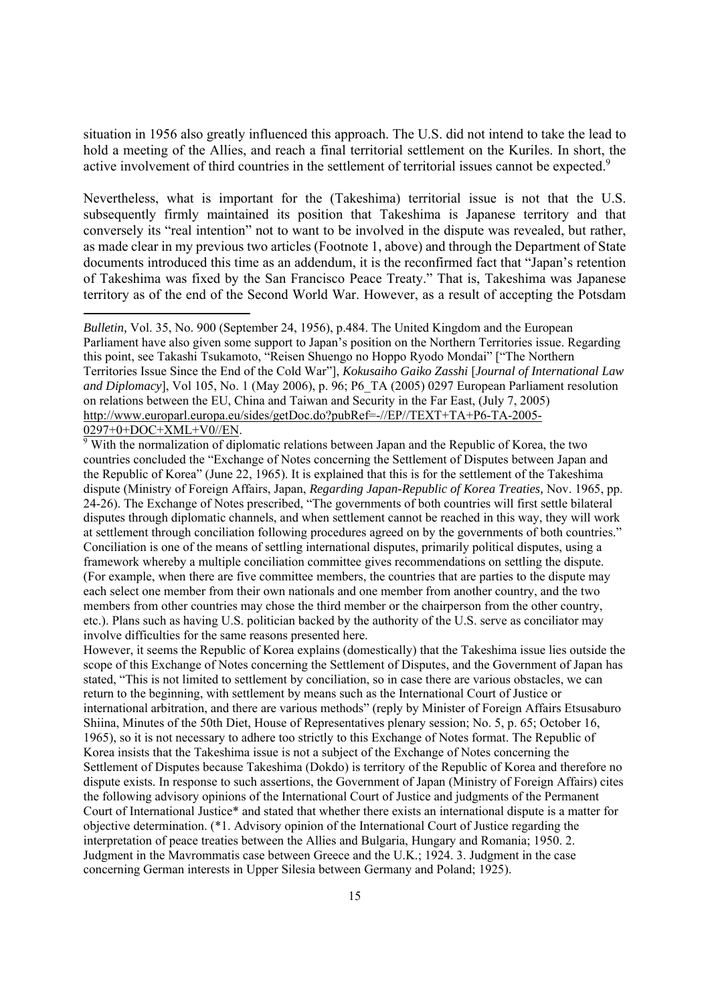situation in 1956 also greatly influenced this approach. The U.S. did not intend to take the lead to hold a meeting of the Allies, and reach a final territorial settlement on the Kuriles. In short, the active involvement of third countries in the settlement of territorial issues cannot be expected.<sup>9</sup>

Nevertheless, what is important for the (Takeshima) territorial issue is not that the U.S. subsequently firmly maintained its position that Takeshima is Japanese territory and that conversely its "real intention" not to want to be involved in the dispute was revealed, but rather, as made clear in my previous two articles (Footnote 1, above) and through the Department of State documents introduced this time as an addendum, it is the reconfirmed fact that "Japan's retention of Takeshima was fixed by the San Francisco Peace Treaty." That is, Takeshima was Japanese territory as of the end of the Second World War. However, as a result of accepting the Potsdam

*Bulletin,* Vol. 35, No. 900 (September 24, 1956), p.484. The United Kingdom and the European Parliament have also given some support to Japan's position on the Northern Territories issue. Regarding this point, see Takashi Tsukamoto, "Reisen Shuengo no Hoppo Ryodo Mondai" ["The Northern Territories Issue Since the End of the Cold War"], *Kokusaiho Gaiko Zasshi* [*Journal of International Law and Diplomacy*], Vol 105, No. 1 (May 2006), p. 96; P6\_TA (2005) 0297 European Parliament resolution on relations between the EU, China and Taiwan and Security in the Far East, (July 7, 2005) http://www.europarl.europa.eu/sides/getDoc.do?pubRef=-//EP//TEXT+TA+P6-TA-2005- 0297+0+DOC+XML+V0//EN.

<sup>9</sup> With the normalization of diplomatic relations between Japan and the Republic of Korea, the two countries concluded the "Exchange of Notes concerning the Settlement of Disputes between Japan and the Republic of Korea" (June 22, 1965). It is explained that this is for the settlement of the Takeshima dispute (Ministry of Foreign Affairs, Japan, *Regarding Japan-Republic of Korea Treaties,* Nov. 1965, pp. 24-26). The Exchange of Notes prescribed, "The governments of both countries will first settle bilateral disputes through diplomatic channels, and when settlement cannot be reached in this way, they will work at settlement through conciliation following procedures agreed on by the governments of both countries." Conciliation is one of the means of settling international disputes, primarily political disputes, using a framework whereby a multiple conciliation committee gives recommendations on settling the dispute. (For example, when there are five committee members, the countries that are parties to the dispute may each select one member from their own nationals and one member from another country, and the two members from other countries may chose the third member or the chairperson from the other country, etc.). Plans such as having U.S. politician backed by the authority of the U.S. serve as conciliator may involve difficulties for the same reasons presented here.

However, it seems the Republic of Korea explains (domestically) that the Takeshima issue lies outside the scope of this Exchange of Notes concerning the Settlement of Disputes, and the Government of Japan has stated, "This is not limited to settlement by conciliation, so in case there are various obstacles, we can return to the beginning, with settlement by means such as the International Court of Justice or international arbitration, and there are various methods" (reply by Minister of Foreign Affairs Etsusaburo Shiina, Minutes of the 50th Diet, House of Representatives plenary session; No. 5, p. 65; October 16, 1965), so it is not necessary to adhere too strictly to this Exchange of Notes format. The Republic of Korea insists that the Takeshima issue is not a subject of the Exchange of Notes concerning the Settlement of Disputes because Takeshima (Dokdo) is territory of the Republic of Korea and therefore no dispute exists. In response to such assertions, the Government of Japan (Ministry of Foreign Affairs) cites the following advisory opinions of the International Court of Justice and judgments of the Permanent Court of International Justice\* and stated that whether there exists an international dispute is a matter for objective determination. (\*1. Advisory opinion of the International Court of Justice regarding the interpretation of peace treaties between the Allies and Bulgaria, Hungary and Romania; 1950. 2. Judgment in the Mavrommatis case between Greece and the U.K.; 1924. 3. Judgment in the case concerning German interests in Upper Silesia between Germany and Poland; 1925).